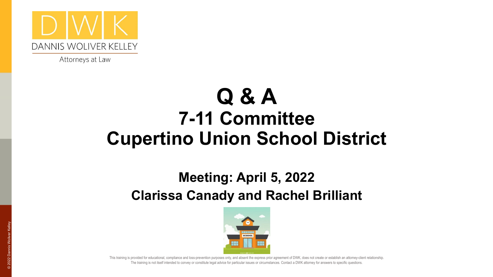

Attorneys at Law

#### **Q & A 7-11 Committee Cupertino Union School District**

#### **Meeting: April 5, 2022 Clarissa Canady and Rachel Brilliant**



For the training is not itself intended to convey or constitute legal advice for particular issues or circumstances. Contact a DWK attorney for answers to specific questions. This training is provided for educational, compliance and loss-prevention purposes only, and absent the express prior agreement of DWK, does not create or establish an attorney-client relationship.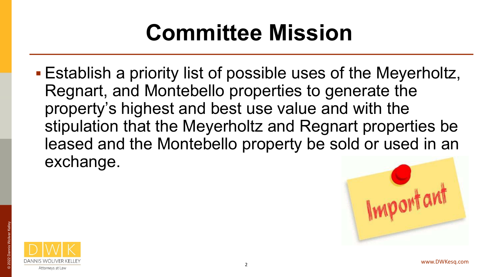## **Committee Mission**

■ Establish a priority list of possible uses of the Meyerholtz, Regnart, and Montebello properties to generate the property's highest and best use value and with the stipulation that the Meyerholtz and Regnart properties be leased and the Montebello property be sold or used in an exchange.



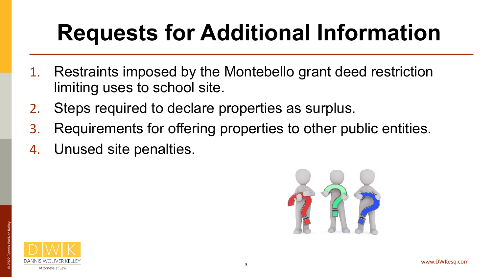# **Requests for Additional Information**

- Restraints imposed by the Montebello grant deed restriction limiting uses to school site.
- 2. Steps required to declare properties as surplus.
- 3. Requirements for offering properties to other public entities.
- 4. Unused site penalties.



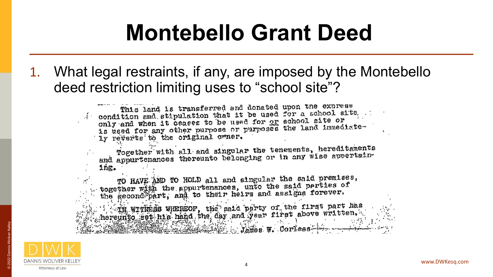#### **Montebello Grant Deed**

1. What legal restraints, if any, are imposed by the Montebello deed restriction limiting uses to "school site"?

> This land is transferred and donated upon the exprese condition and stipulation that it be used for a school site. condition and suppliation shaw it by died formed. only and when it ceases to be used for the bonder functions. ly reverts to the original owner.

Together with all and singular the tenements, hereditaments rogether with all show singular the consideration and appurtenances thereunto belonging or in any wise appertuining.

TO HAVE AND TO HOLD all and singular the said premises, together with the appurtenances, unto the said perties of<br>the second part, and to their heirs and assigns forever.

Th WITHESS WHEREOF, the said party of the first part has hereunto set his hand the day and year first above written.



Attorneys at Law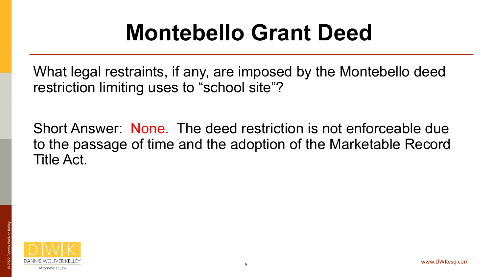#### **Montebello Grant Deed**

What legal restraints, if any, are imposed by the Montebello deed restriction limiting uses to "school site"?

Short Answer: None. The deed restriction is not enforceable due to the passage of time and the adoption of the Marketable Record Title Act.

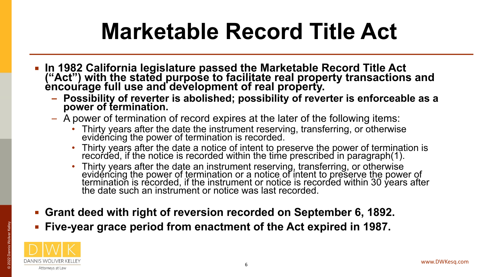### **Marketable Record Title Act**

- **In 1982 California legislature passed the Marketable Record Title Act ("Act") with the stated purpose to facilitate real property transactions and encourage full use and development of real property.** 
	- **– Possibility of reverter is abolished; possibility of reverter is enforceable as a power of termination.**
	- A power of termination of record expires at the later of the following items:
		- Thirty years after the date the instrument reserving, transferring, or otherwise evidéncing the power of termination is recorded.
		- Thirty years after the date a notice of intent to preserve the power of termination is recorded, if the notice is recorded within the time prescribed in paragraph(1).
		- Thirty years after the date an instrument reserving, transferring, or otherwise evidéncing the power of termination or a notice of intent to preserve the power of termination is recorded, if the instrument or notice is recorded within 30 years after the date such an instrument or notice was last recorded.
- **Grant deed with right of reversion recorded on September 6, 1892.**
- **Five-year grace period from enactment of the Act expired in 1987.**

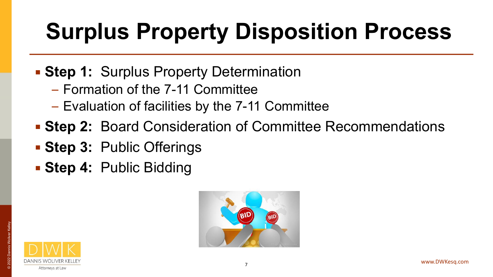# **Surplus Property Disposition Process**

- **Extep 1: Surplus Property Determination** 
	- Formation of the 7-11 Committee
	- Evaluation of facilities by the 7-11 Committee
- **Extep 2: Board Consideration of Committee Recommendations**
- **Step 3:** Public Offerings
- **Extep 4: Public Bidding**



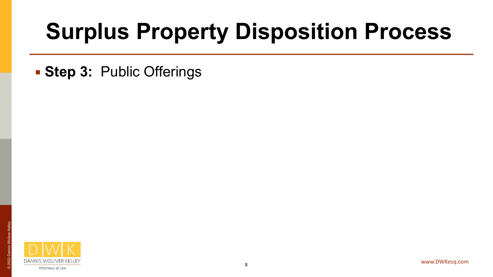#### **Surplus Property Disposition Process**

**Extep 3: Public Offerings** 



© 2022 Dannis Woliver Kelley

2022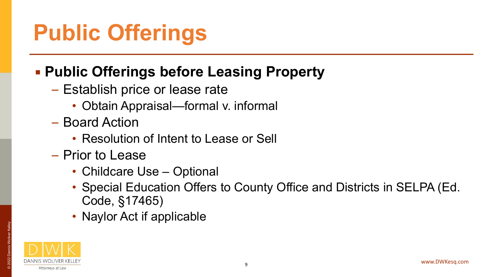### **Public Offerings**

#### ▪ **Public Offerings before Leasing Property**

- Establish price or lease rate
	- Obtain Appraisal—formal v. informal
- Board Action
	- Resolution of Intent to Lease or Sell
- Prior to Lease
	- Childcare Use Optional
	- Special Education Offers to County Office and Districts in SELPA (Ed. Code, §17465)
	- Naylor Act if applicable

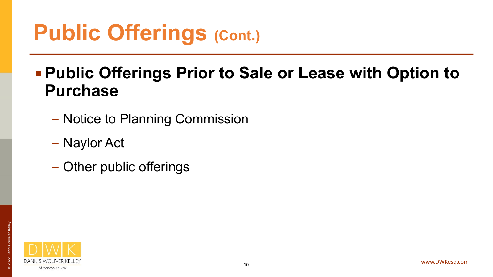#### ▪ **Public Offerings Prior to Sale or Lease with Option to Purchase**

- Notice to Planning Commission
- Naylor Act
- Other public offerings

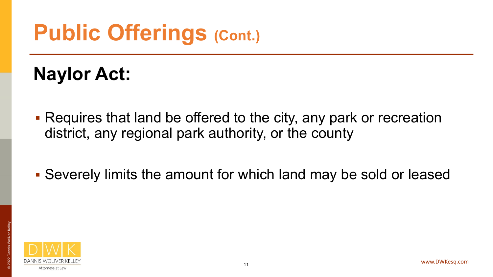#### **Naylor Act:**

- Requires that land be offered to the city, any park or recreation district, any regional park authority, or the county
- Severely limits the amount for which land may be sold or leased

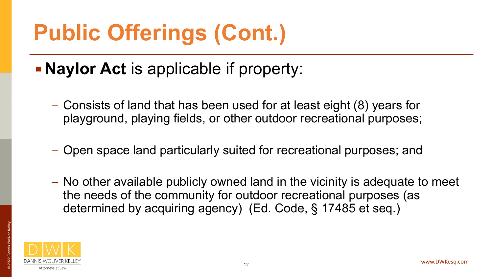- **Naylor Act** is applicable if property:
	- Consists of land that has been used for at least eight (8) years for playground, playing fields, or other outdoor recreational purposes;
	- Open space land particularly suited for recreational purposes; and
	- No other available publicly owned land in the vicinity is adequate to meet the needs of the community for outdoor recreational purposes (as determined by acquiring agency) (Ed. Code, § 17485 et seq.)

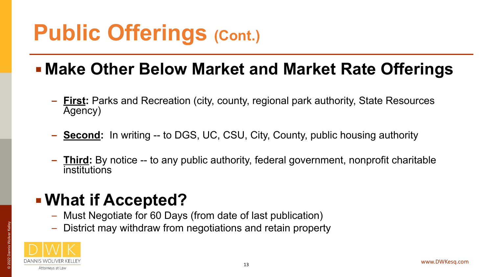- **Make Other Below Market and Market Rate Offerings**
	- **– First:** Parks and Recreation (city, county, regional park authority, State Resources Agency)
	- **– Second:** In writing -- to DGS, UC, CSU, City, County, public housing authority
	- **– Third:** By notice -- to any public authority, federal government, nonprofit charitable institutions

#### ▪ **What if Accepted?**

- Must Negotiate for 60 Days (from date of last publication)
- District may withdraw from negotiations and retain property

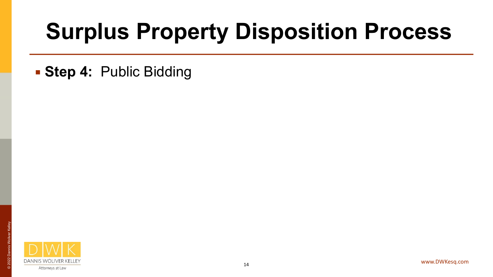#### **Surplus Property Disposition Process**

**Extep 4: Public Bidding** 

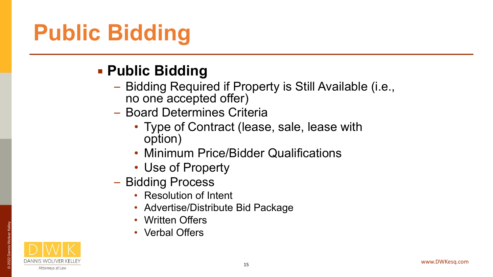# **Public Bidding**

#### ▪ **Public Bidding**

- Bidding Required if Property is Still Available (i.e., no one accepted offer)
- Board Determines Criteria
	- Type of Contract (lease, sale, lease with option)
	- Minimum Price/Bidder Qualifications
	- Use of Property
- Bidding Process
	- Resolution of Intent
	- Advertise/Distribute Bid Package
	- Written Offers
	- Verbal Offers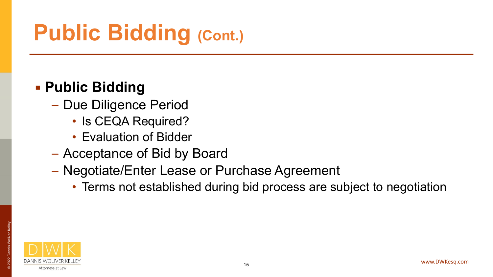# **Public Bidding (Cont.)**

#### ▪ **Public Bidding**

- Due Diligence Period
	- Is CEQA Required?
	- Evaluation of Bidder
- Acceptance of Bid by Board
- Negotiate/Enter Lease or Purchase Agreement
	- Terms not established during bid process are subject to negotiation

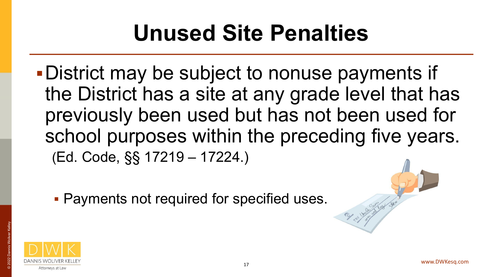### **Unused Site Penalties**

- ▪District may be subject to nonuse payments if the District has a site at any grade level that has previously been used but has not been used for school purposes within the preceding five years. (Ed. Code, §§ 17219 – 17224.)
	- **Payments not required for specified uses.**